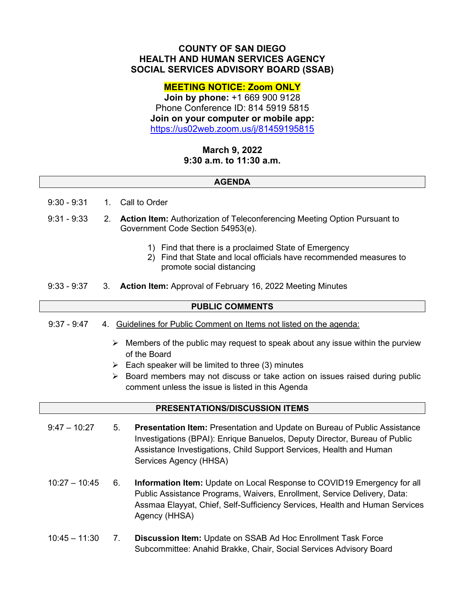## **COUNTY OF SAN DIEGO HEALTH AND HUMAN SERVICES AGENCY SOCIAL SERVICES ADVISORY BOARD (SSAB)**

### **MEETING NOTICE: Zoom ONLY**

**Join by phone:** +1 669 900 9128 Phone Conference ID: 814 5919 5815 **Join on your computer or mobile app:** <https://us02web.zoom.us/j/81459195815>

# **March 9, 2022 9:30 a.m. to 11:30 a.m.**

#### **AGENDA**

- 9:30 9:31 1. Call to Order
- 9:31 9:33 2. **Action Item:** Authorization of Teleconferencing Meeting Option Pursuant to Government Code Section 54953(e).
	- 1) Find that there is a proclaimed State of Emergency
	- 2) Find that State and local officials have recommended measures to promote social distancing
- 9:33 9:37 3. **Action Item:** Approval of February 16, 2022 Meeting Minutes

#### **PUBLIC COMMENTS**

- 9:37 9:47 4. Guidelines for Public Comment on Items not listed on the agenda:
	- $\triangleright$  Members of the public may request to speak about any issue within the purview of the Board
	- $\triangleright$  Each speaker will be limited to three (3) minutes
	- $\triangleright$  Board members may not discuss or take action on issues raised during public comment unless the issue is listed in this Agenda

#### **PRESENTATIONS/DISCUSSION ITEMS**

- 9:47 10:27 5. **Presentation Item:** Presentation and Update on Bureau of Public Assistance Investigations (BPAI): Enrique Banuelos, Deputy Director, Bureau of Public Assistance Investigations, Child Support Services, Health and Human Services Agency (HHSA)
- 10:27 10:45 6. **Information Item:** Update on Local Response to COVID19 Emergency for all Public Assistance Programs, Waivers, Enrollment, Service Delivery, Data: Assmaa Elayyat, Chief, Self-Sufficiency Services, Health and Human Services Agency (HHSA)
- 10:45 11:30 7. **Discussion Item:** Update on SSAB Ad Hoc Enrollment Task Force Subcommittee: Anahid Brakke, Chair, Social Services Advisory Board